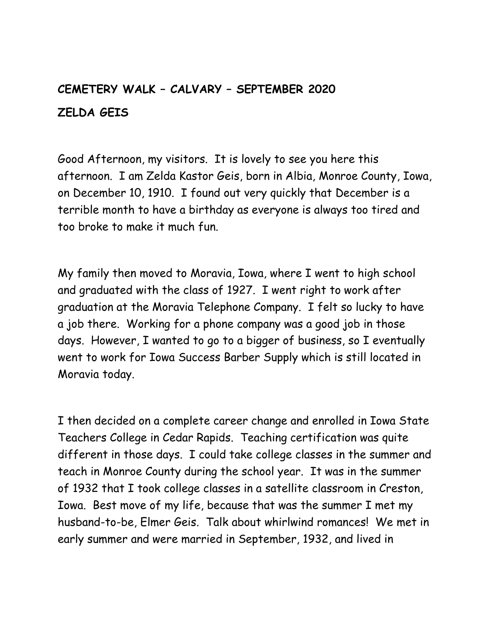# **CEMETERY WALK – CALVARY – SEPTEMBER 2020 ZELDA GEIS**

Good Afternoon, my visitors. It is lovely to see you here this afternoon. I am Zelda Kastor Geis, born in Albia, Monroe County, Iowa, on December 10, 1910. I found out very quickly that December is a terrible month to have a birthday as everyone is always too tired and too broke to make it much fun.

My family then moved to Moravia, Iowa, where I went to high school and graduated with the class of 1927. I went right to work after graduation at the Moravia Telephone Company. I felt so lucky to have a job there. Working for a phone company was a good job in those days. However, I wanted to go to a bigger of business, so I eventually went to work for Iowa Success Barber Supply which is still located in Moravia today.

I then decided on a complete career change and enrolled in Iowa State Teachers College in Cedar Rapids. Teaching certification was quite different in those days. I could take college classes in the summer and teach in Monroe County during the school year. It was in the summer of 1932 that I took college classes in a satellite classroom in Creston, Iowa. Best move of my life, because that was the summer I met my husband-to-be, Elmer Geis. Talk about whirlwind romances! We met in early summer and were married in September, 1932, and lived in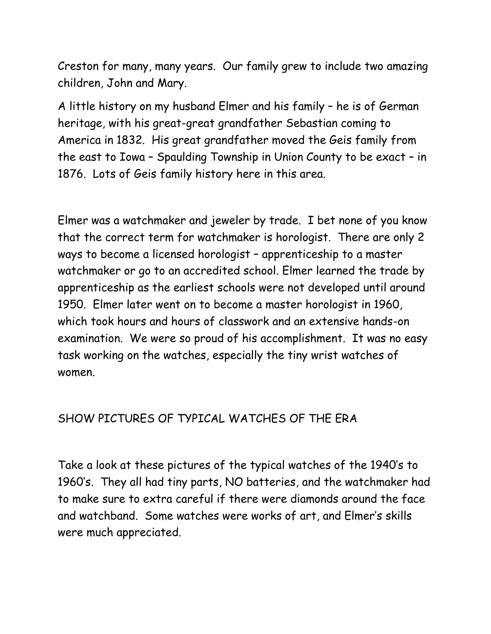Creston for many, many years. Our family grew to include two amazing children, John and Mary.

A little history on my husband Elmer and his family – he is of German heritage, with his great-great grandfather Sebastian coming to America in 1832. His great grandfather moved the Geis family from the east to Iowa – Spaulding Township in Union County to be exact – in 1876. Lots of Geis family history here in this area.

Elmer was a watchmaker and jeweler by trade. I bet none of you know that the correct term for watchmaker is horologist. There are only 2 ways to become a licensed horologist – apprenticeship to a master watchmaker or go to an accredited school. Elmer learned the trade by apprenticeship as the earliest schools were not developed until around 1950. Elmer later went on to become a master horologist in 1960, which took hours and hours of classwork and an extensive hands-on examination. We were so proud of his accomplishment. It was no easy task working on the watches, especially the tiny wrist watches of women.

#### SHOW PICTURES OF TYPICAL WATCHES OF THE ERA

Take a look at these pictures of the typical watches of the 1940's to 1960's. They all had tiny parts, NO batteries, and the watchmaker had to make sure to extra careful if there were diamonds around the face and watchband. Some watches were works of art, and Elmer's skills were much appreciated.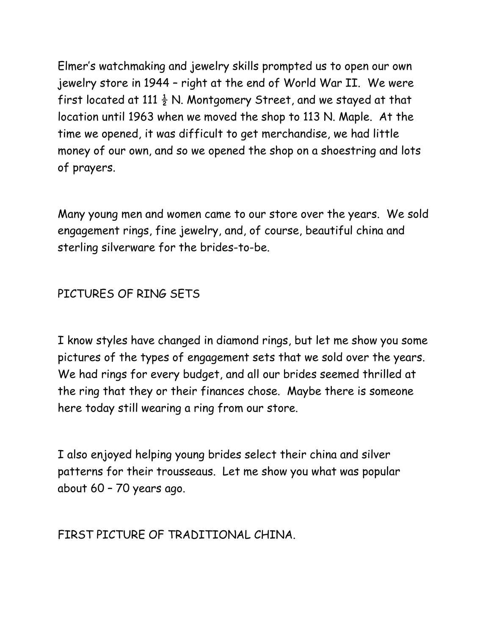Elmer's watchmaking and jewelry skills prompted us to open our own jewelry store in 1944 – right at the end of World War II. We were first located at 111  $\frac{1}{2}$  N. Montgomery Street, and we stayed at that location until 1963 when we moved the shop to 113 N. Maple. At the time we opened, it was difficult to get merchandise, we had little money of our own, and so we opened the shop on a shoestring and lots of prayers.

Many young men and women came to our store over the years. We sold engagement rings, fine jewelry, and, of course, beautiful china and sterling silverware for the brides-to-be.

#### PICTURES OF RING SETS

I know styles have changed in diamond rings, but let me show you some pictures of the types of engagement sets that we sold over the years. We had rings for every budget, and all our brides seemed thrilled at the ring that they or their finances chose. Maybe there is someone here today still wearing a ring from our store.

I also enjoyed helping young brides select their china and silver patterns for their trousseaus. Let me show you what was popular about 60 – 70 years ago.

FIRST PICTURE OF TRADITIONAL CHINA.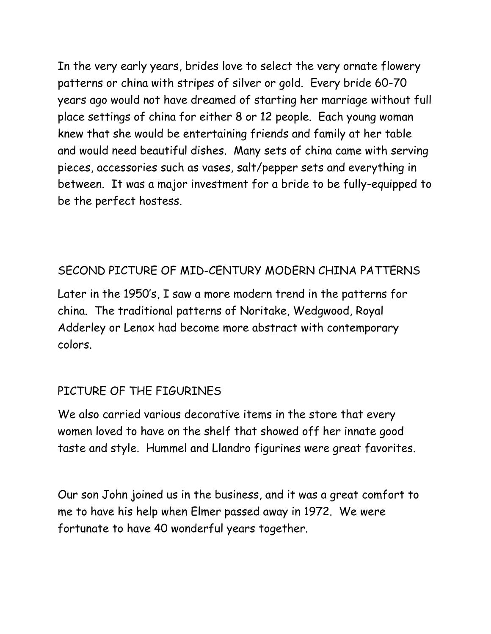In the very early years, brides love to select the very ornate flowery patterns or china with stripes of silver or gold. Every bride 60-70 years ago would not have dreamed of starting her marriage without full place settings of china for either 8 or 12 people. Each young woman knew that she would be entertaining friends and family at her table and would need beautiful dishes. Many sets of china came with serving pieces, accessories such as vases, salt/pepper sets and everything in between. It was a major investment for a bride to be fully-equipped to be the perfect hostess.

### SECOND PICTURE OF MID-CENTURY MODERN CHINA PATTERNS

Later in the 1950's, I saw a more modern trend in the patterns for china. The traditional patterns of Noritake, Wedgwood, Royal Adderley or Lenox had become more abstract with contemporary colors.

## PICTURE OF THE FIGURINES

We also carried various decorative items in the store that every women loved to have on the shelf that showed off her innate good taste and style. Hummel and Llandro figurines were great favorites.

Our son John joined us in the business, and it was a great comfort to me to have his help when Elmer passed away in 1972. We were fortunate to have 40 wonderful years together.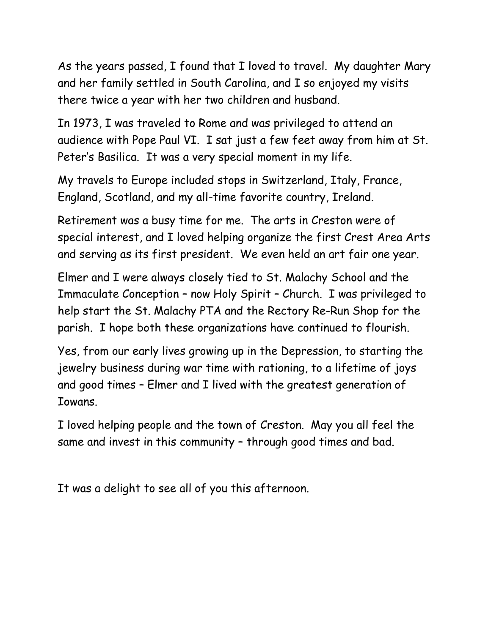As the years passed, I found that I loved to travel. My daughter Mary and her family settled in South Carolina, and I so enjoyed my visits there twice a year with her two children and husband.

In 1973, I was traveled to Rome and was privileged to attend an audience with Pope Paul VI. I sat just a few feet away from him at St. Peter's Basilica. It was a very special moment in my life.

My travels to Europe included stops in Switzerland, Italy, France, England, Scotland, and my all-time favorite country, Ireland.

Retirement was a busy time for me. The arts in Creston were of special interest, and I loved helping organize the first Crest Area Arts and serving as its first president. We even held an art fair one year.

Elmer and I were always closely tied to St. Malachy School and the Immaculate Conception – now Holy Spirit – Church. I was privileged to help start the St. Malachy PTA and the Rectory Re-Run Shop for the parish. I hope both these organizations have continued to flourish.

Yes, from our early lives growing up in the Depression, to starting the jewelry business during war time with rationing, to a lifetime of joys and good times – Elmer and I lived with the greatest generation of Iowans.

I loved helping people and the town of Creston. May you all feel the same and invest in this community – through good times and bad.

It was a delight to see all of you this afternoon.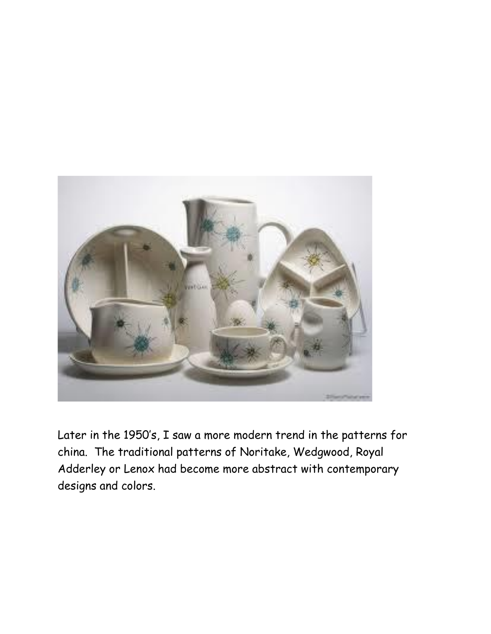

Later in the 1950's, I saw a more modern trend in the patterns for china. The traditional patterns of Noritake, Wedgwood, Royal Adderley or Lenox had become more abstract with contemporary designs and colors.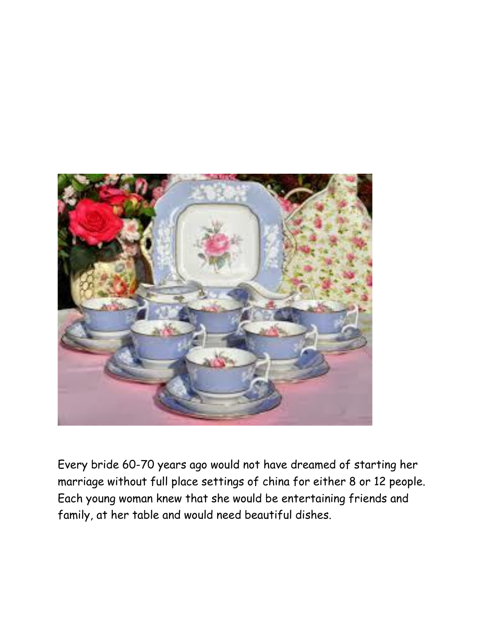

Every bride 60-70 years ago would not have dreamed of starting her marriage without full place settings of china for either 8 or 12 people. Each young woman knew that she would be entertaining friends and family, at her table and would need beautiful dishes.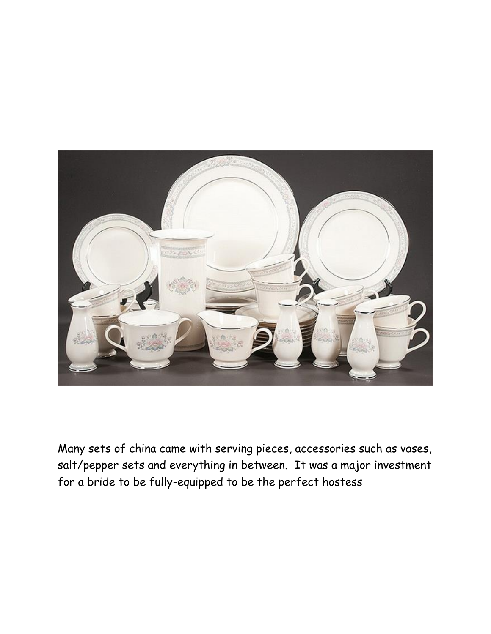

Many sets of china came with serving pieces, accessories such as vases, salt/pepper sets and everything in between. It was a major investment for a bride to be fully-equipped to be the perfect hostess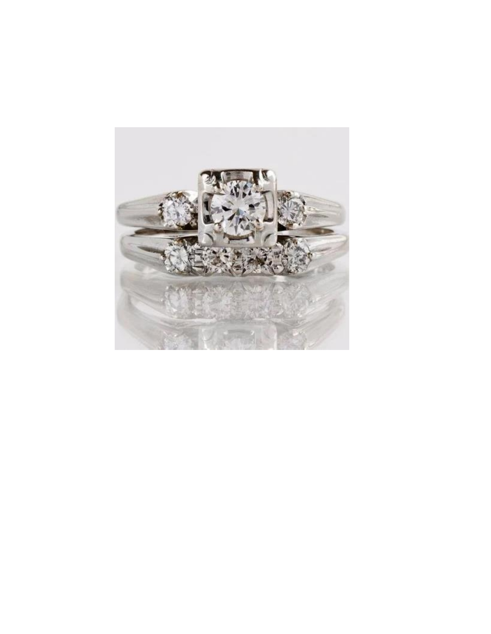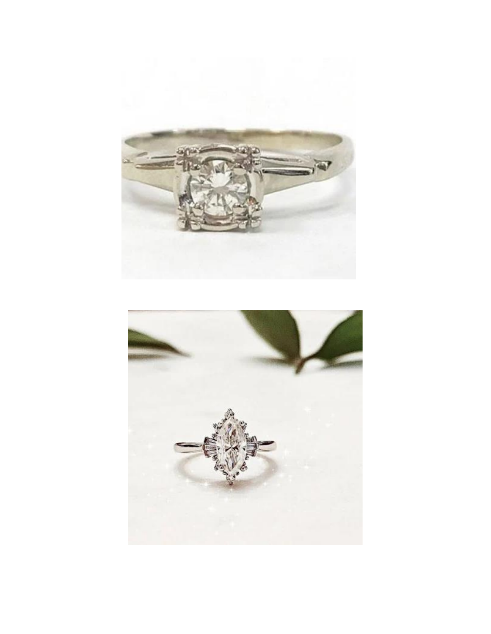

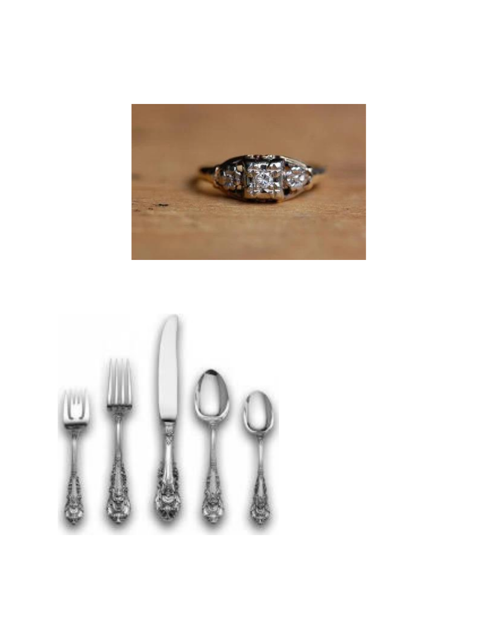

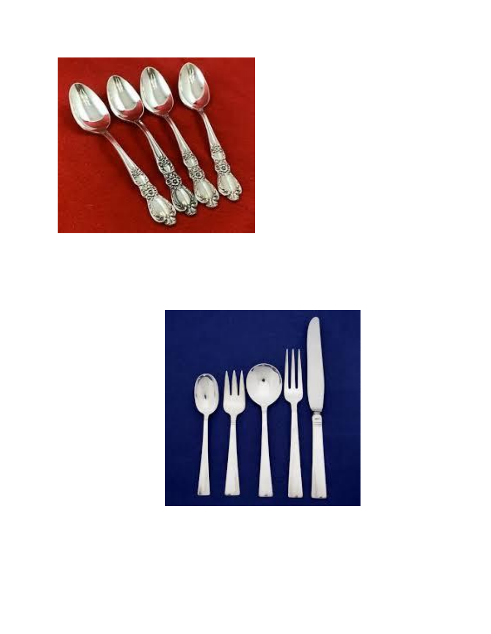

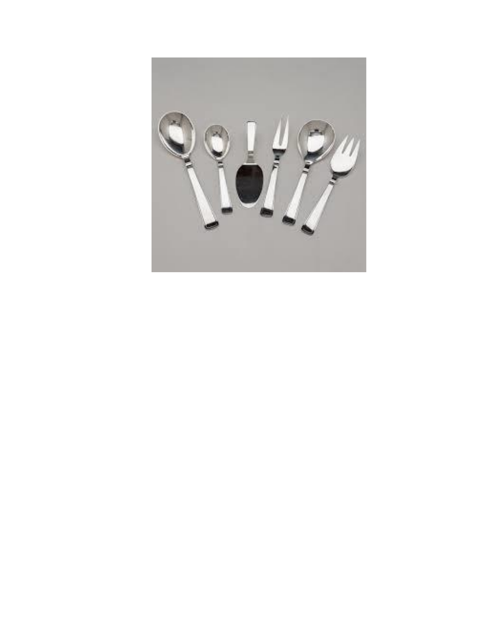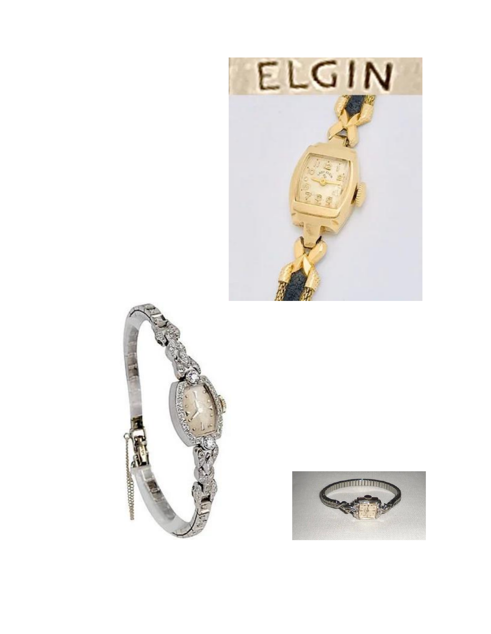